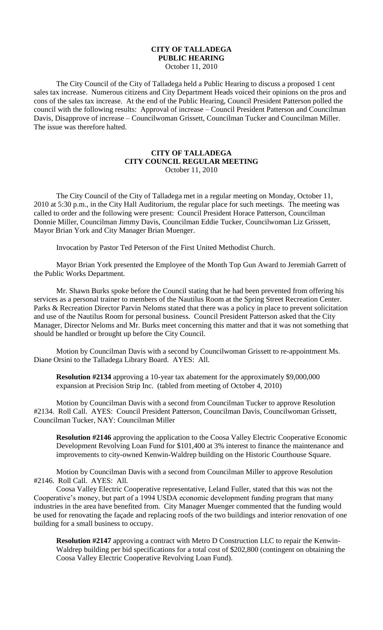## **CITY OF TALLADEGA PUBLIC HEARING**

October 11, 2010

The City Council of the City of Talladega held a Public Hearing to discuss a proposed 1 cent sales tax increase. Numerous citizens and City Department Heads voiced their opinions on the pros and cons of the sales tax increase. At the end of the Public Hearing, Council President Patterson polled the council with the following results: Approval of increase – Council President Patterson and Councilman Davis, Disapprove of increase – Councilwoman Grissett, Councilman Tucker and Councilman Miller. The issue was therefore halted.

## **CITY OF TALLADEGA CITY COUNCIL REGULAR MEETING** October 11, 2010

The City Council of the City of Talladega met in a regular meeting on Monday, October 11, 2010 at 5:30 p.m., in the City Hall Auditorium, the regular place for such meetings. The meeting was called to order and the following were present: Council President Horace Patterson, Councilman Donnie Miller, Councilman Jimmy Davis, Councilman Eddie Tucker, Councilwoman Liz Grissett, Mayor Brian York and City Manager Brian Muenger.

Invocation by Pastor Ted Peterson of the First United Methodist Church.

Mayor Brian York presented the Employee of the Month Top Gun Award to Jeremiah Garrett of the Public Works Department.

Mr. Shawn Burks spoke before the Council stating that he had been prevented from offering his services as a personal trainer to members of the Nautilus Room at the Spring Street Recreation Center. Parks & Recreation Director Parvin Neloms stated that there was a policy in place to prevent solicitation and use of the Nautilus Room for personal business. Council President Patterson asked that the City Manager, Director Neloms and Mr. Burks meet concerning this matter and that it was not something that should be handled or brought up before the City Council.

Motion by Councilman Davis with a second by Councilwoman Grissett to re-appointment Ms. Diane Orsini to the Talladega Library Board. AYES: All.

**Resolution #2134** approving a 10-year tax abatement for the approximately \$9,000,000 expansion at Precision Strip Inc. (tabled from meeting of October 4, 2010)

Motion by Councilman Davis with a second from Councilman Tucker to approve Resolution #2134. Roll Call. AYES: Council President Patterson, Councilman Davis, Councilwoman Grissett, Councilman Tucker, NAY: Councilman Miller

**Resolution #2146** approving the application to the Coosa Valley Electric Cooperative Economic Development Revolving Loan Fund for \$101,400 at 3% interest to finance the maintenance and improvements to city-owned Kenwin-Waldrep building on the Historic Courthouse Square.

Motion by Councilman Davis with a second from Councilman Miller to approve Resolution #2146. Roll Call. AYES: All.

Coosa Valley Electric Cooperative representative, Leland Fuller, stated that this was not the Cooperative's money, but part of a 1994 USDA economic development funding program that many industries in the area have benefited from. City Manager Muenger commented that the funding would be used for renovating the façade and replacing roofs of the two buildings and interior renovation of one building for a small business to occupy.

**Resolution #2147** approving a contract with Metro D Construction LLC to repair the Kenwin-Waldrep building per bid specifications for a total cost of \$202,800 (contingent on obtaining the Coosa Valley Electric Cooperative Revolving Loan Fund).